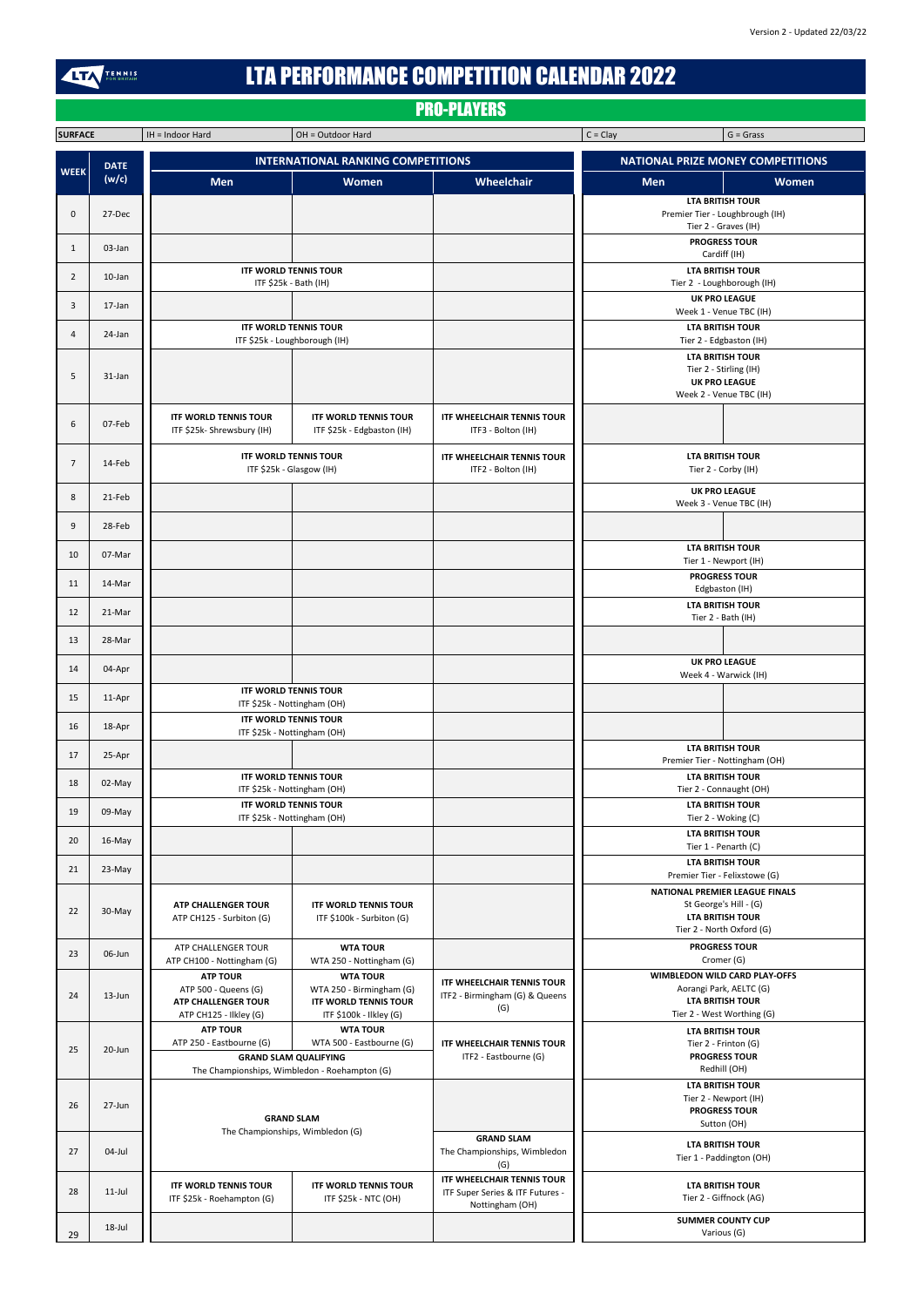| <b>SURFACE</b> |                      | $IH = Indoor Hard$                                                            | OH = Outdoor Hard                                          |                                                            | $C = Clay$<br>$G = Grass$                                |  |  |
|----------------|----------------------|-------------------------------------------------------------------------------|------------------------------------------------------------|------------------------------------------------------------|----------------------------------------------------------|--|--|
| <b>WEEK</b>    | <b>DATE</b><br>(w/c) | <b>INTERNATIONAL RANKING COMPETITIONS</b>                                     |                                                            |                                                            | <b>NATIONAL PRIZE MONEY COMPETITIONS</b>                 |  |  |
|                |                      | <b>Men</b>                                                                    | Women                                                      | <b>Wheelchair</b>                                          | <b>Men</b><br><b>Women</b>                               |  |  |
|                |                      |                                                                               |                                                            |                                                            | <b>LTA BRITISH TOUR</b>                                  |  |  |
| $\mathbf 0$    | 27-Dec               |                                                                               |                                                            |                                                            | Premier Tier - Loughbrough (IH)                          |  |  |
|                |                      |                                                                               |                                                            |                                                            | Tier 2 - Graves (IH)                                     |  |  |
| 1              | 03-Jan               |                                                                               |                                                            |                                                            | <b>PROGRESS TOUR</b>                                     |  |  |
|                |                      |                                                                               | <b>ITF WORLD TENNIS TOUR</b>                               |                                                            | Cardiff (IH)<br><b>LTA BRITISH TOUR</b>                  |  |  |
| $\overline{2}$ | $10$ -Jan            |                                                                               | ITF \$25k - Bath (IH)                                      |                                                            | Tier 2 - Loughborough (IH)                               |  |  |
| 3<br>$17$ -Jan |                      |                                                                               |                                                            |                                                            | <b>UK PRO LEAGUE</b>                                     |  |  |
|                |                      |                                                                               |                                                            |                                                            | Week 1 - Venue TBC (IH)                                  |  |  |
| 4              | 24-Jan               | <b>ITF WORLD TENNIS TOUR</b><br>ITF \$25k - Loughborough (IH)                 |                                                            |                                                            | <b>LTA BRITISH TOUR</b><br>Tier 2 - Edgbaston (IH)       |  |  |
|                |                      |                                                                               |                                                            |                                                            | <b>LTA BRITISH TOUR</b>                                  |  |  |
| 5              | 31-Jan               |                                                                               |                                                            |                                                            | Tier 2 - Stirling (IH)                                   |  |  |
|                |                      |                                                                               |                                                            |                                                            | <b>UK PRO LEAGUE</b><br>Week 2 - Venue TBC (IH)          |  |  |
|                |                      |                                                                               |                                                            |                                                            |                                                          |  |  |
| 6              | 07-Feb               | <b>ITF WORLD TENNIS TOUR</b><br>ITF \$25k-Shrewsbury (IH)                     | <b>ITF WORLD TENNIS TOUR</b><br>ITF \$25k - Edgbaston (IH) | <b>ITF WHEELCHAIR TENNIS TOUR</b><br>ITF3 - Bolton (IH)    |                                                          |  |  |
|                |                      |                                                                               |                                                            |                                                            |                                                          |  |  |
| $\overline{7}$ | 14-Feb               | <b>ITF WORLD TENNIS TOUR</b><br>ITF \$25k - Glasgow (IH)                      |                                                            | <b>ITF WHEELCHAIR TENNIS TOUR</b>                          | <b>LTA BRITISH TOUR</b>                                  |  |  |
|                |                      |                                                                               |                                                            | ITF2 - Bolton (IH)                                         | Tier 2 - Corby (IH)                                      |  |  |
| 8              | 21-Feb               |                                                                               |                                                            |                                                            | <b>UK PRO LEAGUE</b><br>Week 3 - Venue TBC (IH)          |  |  |
|                |                      |                                                                               |                                                            |                                                            |                                                          |  |  |
| 9              | 28-Feb               |                                                                               |                                                            |                                                            |                                                          |  |  |
| 10             | 07-Mar               |                                                                               |                                                            |                                                            | <b>LTA BRITISH TOUR</b>                                  |  |  |
|                |                      |                                                                               |                                                            |                                                            | Tier 1 - Newport (IH)                                    |  |  |
| 11             | 14-Mar               |                                                                               |                                                            |                                                            | <b>PROGRESS TOUR</b><br>Edgbaston (IH)                   |  |  |
|                |                      |                                                                               |                                                            |                                                            | <b>LTA BRITISH TOUR</b>                                  |  |  |
| 12             | 21-Mar               |                                                                               |                                                            |                                                            | Tier 2 - Bath (IH)                                       |  |  |
| 13             | 28-Mar               |                                                                               |                                                            |                                                            |                                                          |  |  |
|                |                      |                                                                               |                                                            |                                                            | <b>UK PRO LEAGUE</b>                                     |  |  |
| 14             | 04-Apr               |                                                                               |                                                            |                                                            | Week 4 - Warwick (IH)                                    |  |  |
| 15             | 11-Apr               |                                                                               | <b>ITF WORLD TENNIS TOUR</b>                               |                                                            |                                                          |  |  |
|                |                      | ITF \$25k - Nottingham (OH)                                                   |                                                            |                                                            |                                                          |  |  |
| 16             | 18-Apr               | <b>ITF WORLD TENNIS TOUR</b><br>ITF \$25k - Nottingham (OH)                   |                                                            |                                                            |                                                          |  |  |
|                |                      |                                                                               |                                                            |                                                            | <b>LTA BRITISH TOUR</b>                                  |  |  |
| 17             | 25-Apr               |                                                                               |                                                            |                                                            | Premier Tier - Nottingham (OH)                           |  |  |
| 18             | 02-May               | <b>ITF WORLD TENNIS TOUR</b><br>ITF \$25k - Nottingham (OH)                   |                                                            |                                                            | <b>LTA BRITISH TOUR</b><br>Tier 2 - Connaught (OH)       |  |  |
|                |                      |                                                                               | <b>ITF WORLD TENNIS TOUR</b>                               |                                                            | <b>LTA BRITISH TOUR</b>                                  |  |  |
| 19             | 09-May               |                                                                               | ITF \$25k - Nottingham (OH)                                |                                                            | Tier 2 - Woking (C)                                      |  |  |
| 20             | $16$ -May            |                                                                               |                                                            |                                                            | <b>LTA BRITISH TOUR</b>                                  |  |  |
|                |                      |                                                                               |                                                            |                                                            | Tier 1 - Penarth (C)                                     |  |  |
| 21             | $23-May$             |                                                                               |                                                            |                                                            | <b>LTA BRITISH TOUR</b><br>Premier Tier - Felixstowe (G) |  |  |
|                |                      |                                                                               |                                                            |                                                            | <b>NATIONAL PREMIER LEAGUE FINALS</b>                    |  |  |
| 22             | 30-May               | <b>ATP CHALLENGER TOUR</b>                                                    | <b>ITF WORLD TENNIS TOUR</b>                               |                                                            | St George's Hill - (G)                                   |  |  |
|                |                      | ATP CH125 - Surbiton (G)                                                      | ITF \$100k - Surbiton (G)                                  |                                                            | <b>LTA BRITISH TOUR</b><br>Tier 2 - North Oxford (G)     |  |  |
|                |                      | ATP CHALLENGER TOUR                                                           | <b>WTA TOUR</b>                                            |                                                            | <b>PROGRESS TOUR</b>                                     |  |  |
| 23             | 06-Jun               | ATP CH100 - Nottingham (G)                                                    | WTA 250 - Nottingham (G)                                   |                                                            | Cromer (G)                                               |  |  |
|                |                      | <b>ATP TOUR</b>                                                               | <b>WTA TOUR</b>                                            | <b>ITF WHEELCHAIR TENNIS TOUR</b>                          | WIMBLEDON WILD CARD PLAY-OFFS                            |  |  |
| 24             | 13-Jun               | ATP 500 - Queens (G)<br><b>ATP CHALLENGER TOUR</b>                            | WTA 250 - Birmingham (G)<br><b>ITF WORLD TENNIS TOUR</b>   | ITF2 - Birmingham (G) & Queens                             | Aorangi Park, AELTC (G)<br><b>LTA BRITISH TOUR</b>       |  |  |
|                |                      | ATP CH125 - Ilkley (G)                                                        | ITF \$100k - Ilkley (G)                                    | (G)                                                        | Tier 2 - West Worthing (G)                               |  |  |
|                | 20-Jun               | <b>ATP TOUR</b>                                                               | <b>WTA TOUR</b>                                            |                                                            | <b>LTA BRITISH TOUR</b>                                  |  |  |
| 25             |                      | ATP 250 - Eastbourne (G)<br>WTA 500 - Eastbourne (G)                          |                                                            | <b>ITF WHEELCHAIR TENNIS TOUR</b><br>ITF2 - Eastbourne (G) | Tier 2 - Frinton (G)<br><b>PROGRESS TOUR</b>             |  |  |
|                |                      | <b>GRAND SLAM QUALIFYING</b><br>The Championships, Wimbledon - Roehampton (G) |                                                            |                                                            | Redhill (OH)                                             |  |  |
|                |                      |                                                                               |                                                            |                                                            | <b>LTA BRITISH TOUR</b>                                  |  |  |
| 26             | 27-Jun               | <b>GRAND SLAM</b><br>The Championships, Wimbledon (G)                         |                                                            |                                                            | Tier 2 - Newport (IH)<br><b>PROGRESS TOUR</b>            |  |  |
|                |                      |                                                                               |                                                            |                                                            | Sutton (OH)                                              |  |  |
| 27             | 04-Jul               |                                                                               |                                                            | <b>GRAND SLAM</b>                                          | <b>LTA BRITISH TOUR</b>                                  |  |  |
|                |                      |                                                                               |                                                            | The Championships, Wimbledon<br>(G)                        | Tier 1 - Paddington (OH)                                 |  |  |
|                |                      |                                                                               |                                                            | ITF WHEELCHAIR TENNIS TOUR                                 |                                                          |  |  |
| 28             | $11$ -Jul            | <b>ITF WORLD TENNIS TOUR</b><br>ITF \$25k - Roehampton (G)                    | <b>ITF WORLD TENNIS TOUR</b><br>ITF \$25k - NTC (OH)       | ITF Super Series & ITF Futures -                           | <b>LTA BRITISH TOUR</b><br>Tier 2 - Giffnock (AG)        |  |  |
|                |                      |                                                                               |                                                            | Nottingham (OH)                                            |                                                          |  |  |
|                | 18-Jul               |                                                                               |                                                            |                                                            | <b>SUMMER COUNTY CUP</b><br>Various (G)                  |  |  |
| 29             |                      |                                                                               |                                                            |                                                            |                                                          |  |  |

## LTA PERFORMANCE COMPETITION CALENDAR 2022

TENNIS

## PRO-PLAYERS